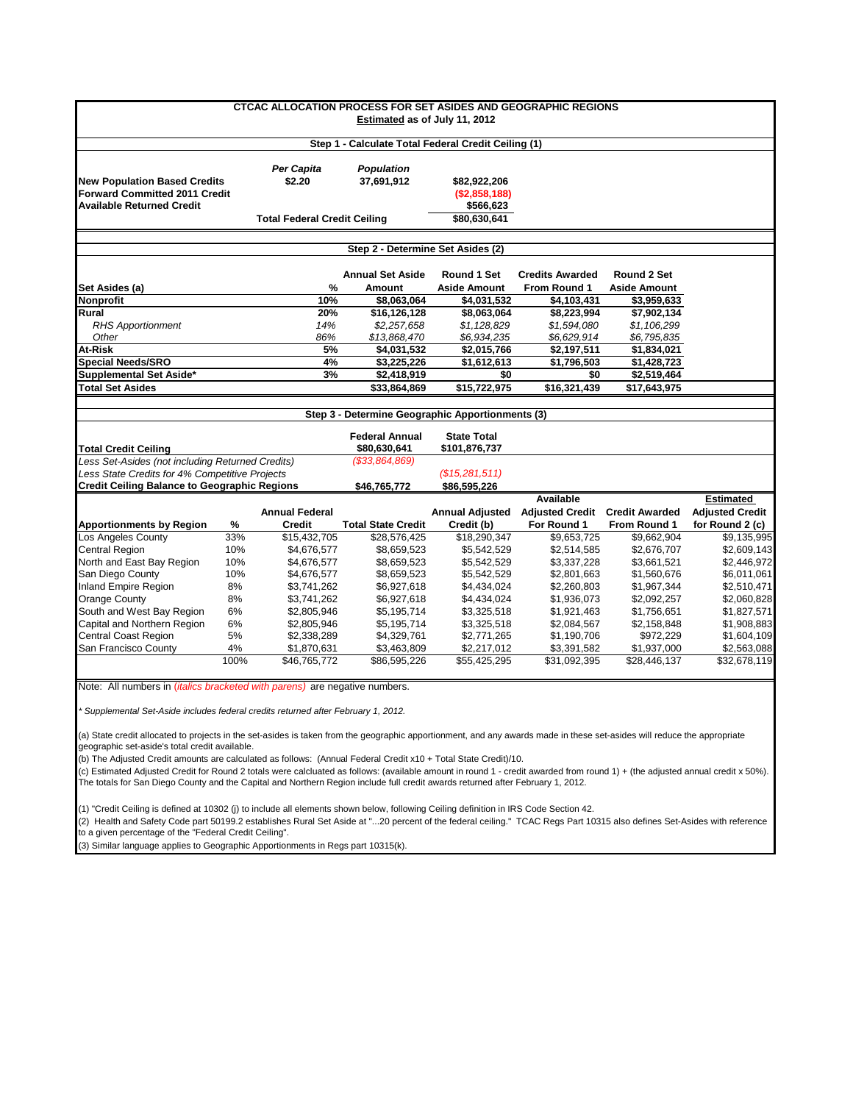|                                                                                   |      | <b>CTCAC ALLOCATION PROCESS FOR SET ASIDES AND GEOGRAPHIC REGIONS</b> | Estimated as of July 11, 2012                       |                     |                                                |                     |                        |
|-----------------------------------------------------------------------------------|------|-----------------------------------------------------------------------|-----------------------------------------------------|---------------------|------------------------------------------------|---------------------|------------------------|
|                                                                                   |      |                                                                       | Step 1 - Calculate Total Federal Credit Ceiling (1) |                     |                                                |                     |                        |
|                                                                                   |      | Per Capita                                                            | <b>Population</b>                                   |                     |                                                |                     |                        |
| <b>New Population Based Credits</b>                                               |      | \$2.20                                                                | 37,691,912                                          | \$82,922,206        |                                                |                     |                        |
| Forward Committed 2011 Credit                                                     |      |                                                                       | ( \$2,858,188)                                      |                     |                                                |                     |                        |
| <b>Available Returned Credit</b>                                                  |      |                                                                       |                                                     | \$566,623           |                                                |                     |                        |
|                                                                                   |      | <b>Total Federal Credit Ceiling</b>                                   |                                                     | \$80.630.641        |                                                |                     |                        |
|                                                                                   |      |                                                                       | Step 2 - Determine Set Asides (2)                   |                     |                                                |                     |                        |
|                                                                                   |      |                                                                       | <b>Annual Set Aside</b>                             | Round 1 Set         | <b>Credits Awarded</b>                         | Round 2 Set         |                        |
| Set Asides (a)                                                                    |      | %                                                                     | <b>Amount</b>                                       | <b>Aside Amount</b> | From Round 1                                   | <b>Aside Amount</b> |                        |
| <b>Nonprofit</b>                                                                  |      | 10%                                                                   | \$8,063,064                                         | \$4,031,532         | \$4,103,431                                    | \$3.959.633         |                        |
| <b>Rural</b>                                                                      |      | 20%                                                                   | \$16,126,128                                        | \$8,063,064         | \$8,223,994                                    | \$7,902,134         |                        |
| <b>RHS Apportionment</b>                                                          |      | 14%                                                                   | \$2,257,658                                         | \$1,128,829         | \$1,594,080                                    | \$1,106,299         |                        |
| Other                                                                             |      | 86%                                                                   | \$13,868,470                                        | \$6,934,235         | \$6,629,914                                    | \$6,795,835         |                        |
| At-Risk                                                                           |      | 5%                                                                    | \$4,031,532                                         | \$2,015,766         | \$2,197,511                                    | \$1,834,021         |                        |
| <b>Special Needs/SRO</b>                                                          |      | 4%                                                                    | \$3,225,226                                         | \$1,612,613         | \$1,796,503                                    | \$1,428,723         |                        |
| Supplemental Set Aside*                                                           |      | 3%                                                                    | \$2,418,919                                         | \$0                 | \$0                                            | \$2,519,464         |                        |
| <b>Total Set Asides</b>                                                           |      |                                                                       | \$33,864,869                                        | \$15,722,975        | \$16,321,439                                   | \$17,643,975        |                        |
|                                                                                   |      |                                                                       |                                                     |                     |                                                |                     |                        |
|                                                                                   |      |                                                                       | Step 3 - Determine Geographic Apportionments (3)    |                     |                                                |                     |                        |
|                                                                                   |      |                                                                       |                                                     |                     |                                                |                     |                        |
|                                                                                   |      |                                                                       | <b>Federal Annual</b>                               | <b>State Total</b>  |                                                |                     |                        |
| <b>Total Credit Ceiling</b>                                                       |      |                                                                       | \$80,630,641                                        | \$101,876,737       |                                                |                     |                        |
| Less Set-Asides (not including Returned Credits)                                  |      |                                                                       | ( \$33, 864, 869)                                   |                     |                                                |                     |                        |
| Less State Credits for 4% Competitive Projects                                    |      |                                                                       |                                                     | (S15, 281, 511)     |                                                |                     |                        |
| <b>Credit Ceiling Balance to Geographic Regions</b>                               |      |                                                                       | \$46,765,772                                        | \$86,595,226        |                                                |                     |                        |
|                                                                                   |      |                                                                       |                                                     |                     | <b>Available</b>                               |                     | Estimated              |
|                                                                                   |      | <b>Annual Federal</b>                                                 |                                                     |                     | Annual Adjusted Adjusted Credit Credit Awarded |                     | <b>Adjusted Credit</b> |
| <b>Apportionments by Region</b>                                                   | %    | <b>Credit</b>                                                         | <b>Total State Credit</b>                           | Credit (b)          | For Round 1                                    | <b>From Round 1</b> | for Round 2 (c)        |
| Los Angeles County<br>Central Region                                              | 33%  | \$15,432,705                                                          | \$28,576,425                                        | \$18,290,347        | \$9,653,725                                    | \$9,662,904         | \$9,135,995            |
|                                                                                   | 10%  | \$4,676,577                                                           | \$8,659,523                                         | \$5,542,529         | \$2,514,585                                    | \$2,676,707         | \$2,609,143            |
| North and East Bay Region                                                         | 10%  | \$4,676,577                                                           | \$8,659,523                                         | \$5,542,529         | \$3,337,228                                    | \$3,661,521         | \$2,446,972            |
| San Diego County                                                                  | 10%  | \$4,676,577                                                           | \$8,659,523                                         | \$5,542,529         | \$2,801,663                                    | \$1,560,676         | \$6,011,061            |
| Inland Empire Region                                                              | 8%   | \$3,741,262                                                           | \$6,927,618                                         | \$4,434,024         | \$2,260,803                                    | \$1,967,344         | \$2,510,471            |
| Orange County                                                                     | 8%   | \$3,741,262                                                           | \$6,927,618                                         | \$4,434,024         | \$1,936,073                                    | \$2,092,257         | \$2,060,828            |
| South and West Bay Region                                                         | 6%   | \$2,805,946                                                           | \$5,195,714                                         | \$3,325,518         | \$1,921,463                                    | \$1,756,651         | \$1,827,571            |
| Capital and Northern Region                                                       | 6%   | \$2,805,946                                                           | \$5,195,714                                         | \$3,325,518         | \$2,084,567                                    | \$2,158,848         | \$1,908,883            |
| <b>Central Coast Region</b>                                                       | 5%   | \$2,338,289                                                           | \$4,329,761                                         | \$2,771,265         | \$1,190,706                                    | \$972,229           | \$1,604,109            |
| San Francisco County                                                              | 4%   | \$1,870,631                                                           | \$3,463,809                                         | \$2,217,012         | \$3,391,582                                    | \$1,937,000         | \$2,563,088            |
|                                                                                   | 100% | \$46,765,772                                                          | \$86,595,226                                        | \$55,425,295        | \$31,092,395                                   | \$28,446,137        | \$32,678,119           |
| Note: All numbers in <i>(italics bracketed with parens)</i> are negative numbers. |      |                                                                       |                                                     |                     |                                                |                     |                        |
|                                                                                   |      |                                                                       |                                                     |                     |                                                |                     |                        |
| Supplemental Set-Aside includes federal credits returned after February 1, 2012.  |      |                                                                       |                                                     |                     |                                                |                     |                        |
|                                                                                   |      |                                                                       |                                                     |                     |                                                |                     |                        |

(a) State credit allocated to projects in the set-asides is taken from the geographic apportionment, and any awards made in these set-asides will reduce the appropriate geographic set-aside's total credit available.

(b) The Adjusted Credit amounts are calculated as follows: (Annual Federal Credit x10 + Total State Credit)/10.

(c) Estimated Adjusted Credit for Round 2 totals were calcluated as follows: (available amount in round 1 - credit awarded from round 1) + (the adjusted annual credit x 50%). The totals for San Diego County and the Capital and Northern Region include full credit awards returned after February 1, 2012.

(1) "Credit Ceiling is defined at 10302 (j) to include all elements shown below, following Ceiling definition in IRS Code Section 42.

(2) Health and Safety Code part 50199.2 establishes Rural Set Aside at "...20 percent of the federal ceiling." TCAC Regs Part 10315 also defines Set-Asides with reference to a given percentage of the "Federal Credit Ceiling".

(3) Similar language applies to Geographic Apportionments in Regs part 10315(k).